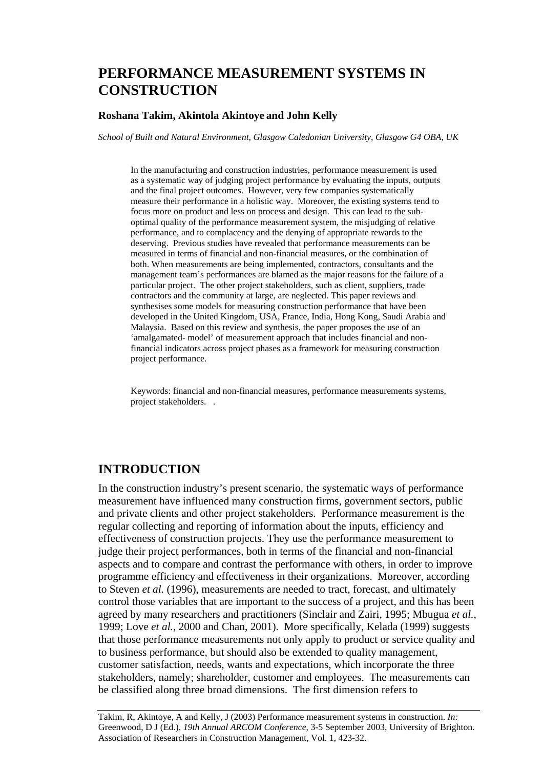# **PERFORMANCE MEASUREMENT SYSTEMS IN CONSTRUCTION**

#### **Roshana Takim, Akintola Akintoye and John Kelly**

*School of Built and Natural Environment, Glasgow Caledonian University, Glasgow G4 OBA, UK* 

In the manufacturing and construction industries, performance measurement is used as a systematic way of judging project performance by evaluating the inputs, outputs and the final project outcomes. However, very few companies systematically measure their performance in a holistic way. Moreover, the existing systems tend to focus more on product and less on process and design. This can lead to the suboptimal quality of the performance measurement system, the misjudging of relative performance, and to complacency and the denying of appropriate rewards to the deserving. Previous studies have revealed that performance measurements can be measured in terms of financial and non-financial measures, or the combination of both. When measurements are being implemented, contractors, consultants and the management team's performances are blamed as the major reasons for the failure of a particular project. The other project stakeholders, such as client, suppliers, trade contractors and the community at large, are neglected. This paper reviews and synthesises some models for measuring construction performance that have been developed in the United Kingdom, USA, France, India, Hong Kong, Saudi Arabia and Malaysia. Based on this review and synthesis, the paper proposes the use of an 'amalgamated- model' of measurement approach that includes financial and nonfinancial indicators across project phases as a framework for measuring construction project performance.

Keywords: financial and non-financial measures, performance measurements systems, project stakeholders. .

### **INTRODUCTION**

In the construction industry's present scenario, the systematic ways of performance measurement have influenced many construction firms, government sectors, public and private clients and other project stakeholders. Performance measurement is the regular collecting and reporting of information about the inputs, efficiency and effectiveness of construction projects. They use the performance measurement to judge their project performances, both in terms of the financial and non-financial aspects and to compare and contrast the performance with others, in order to improve programme efficiency and effectiveness in their organizations. Moreover, according to Steven *et al.* (1996), measurements are needed to tract, forecast, and ultimately control those variables that are important to the success of a project, and this has been agreed by many researchers and practitioners (Sinclair and Zairi, 1995; Mbugua *et al.*, 1999; Love *et al.*, 2000 and Chan, 2001). More specifically, Kelada (1999) suggests that those performance measurements not only apply to product or service quality and to business performance, but should also be extended to quality management, customer satisfaction, needs, wants and expectations, which incorporate the three stakeholders, namely; shareholder, customer and employees. The measurements can be classified along three broad dimensions. The first dimension refers to

Takim, R, Akintoye, A and Kelly, J (2003) Performance measurement systems in construction. *In:* Greenwood, D J (Ed.), *19th Annual ARCOM Conference*, 3-5 September 2003, University of Brighton. Association of Researchers in Construction Management, Vol. 1, 423-32.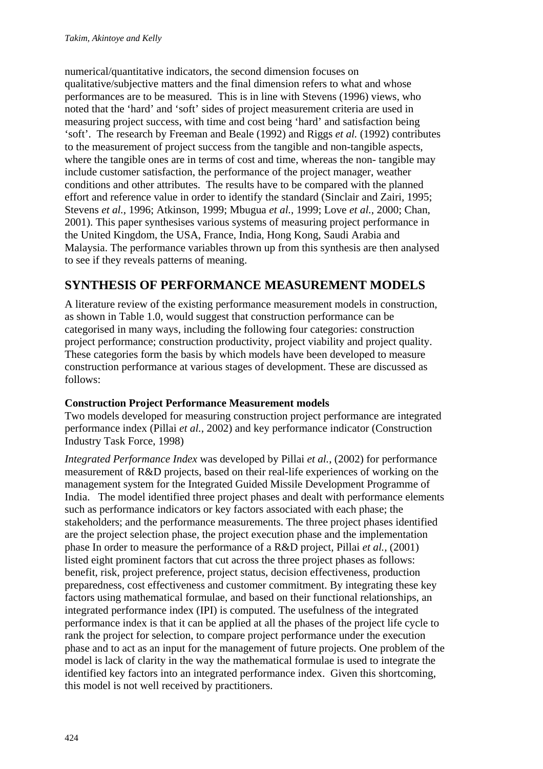numerical/quantitative indicators, the second dimension focuses on qualitative/subjective matters and the final dimension refers to what and whose performances are to be measured. This is in line with Stevens (1996) views, who noted that the 'hard' and 'soft' sides of project measurement criteria are used in measuring project success, with time and cost being 'hard' and satisfaction being 'soft'. The research by Freeman and Beale (1992) and Riggs *et al.* (1992) contributes to the measurement of project success from the tangible and non-tangible aspects, where the tangible ones are in terms of cost and time, whereas the non- tangible may include customer satisfaction, the performance of the project manager, weather conditions and other attributes. The results have to be compared with the planned effort and reference value in order to identify the standard (Sinclair and Zairi, 1995; Stevens *et al.*, 1996; Atkinson, 1999; Mbugua *et al.*, 1999; Love *et al.*, 2000; Chan, 2001). This paper synthesises various systems of measuring project performance in the United Kingdom, the USA, France, India, Hong Kong, Saudi Arabia and Malaysia. The performance variables thrown up from this synthesis are then analysed to see if they reveals patterns of meaning.

# **SYNTHESIS OF PERFORMANCE MEASUREMENT MODELS**

A literature review of the existing performance measurement models in construction, as shown in Table 1.0, would suggest that construction performance can be categorised in many ways, including the following four categories: construction project performance; construction productivity, project viability and project quality. These categories form the basis by which models have been developed to measure construction performance at various stages of development. These are discussed as follows:

### **Construction Project Performance Measurement models**

Two models developed for measuring construction project performance are integrated performance index (Pillai *et al.*, 2002) and key performance indicator (Construction Industry Task Force, 1998)

*Integrated Performance Index* was developed by Pillai *et al.*, (2002) for performance measurement of R&D projects, based on their real-life experiences of working on the management system for the Integrated Guided Missile Development Programme of India. The model identified three project phases and dealt with performance elements such as performance indicators or key factors associated with each phase; the stakeholders; and the performance measurements. The three project phases identified are the project selection phase, the project execution phase and the implementation phase In order to measure the performance of a R&D project, Pillai *et al.,* (2001) listed eight prominent factors that cut across the three project phases as follows: benefit, risk, project preference, project status, decision effectiveness, production preparedness, cost effectiveness and customer commitment. By integrating these key factors using mathematical formulae, and based on their functional relationships, an integrated performance index (IPI) is computed. The usefulness of the integrated performance index is that it can be applied at all the phases of the project life cycle to rank the project for selection, to compare project performance under the execution phase and to act as an input for the management of future projects. One problem of the model is lack of clarity in the way the mathematical formulae is used to integrate the identified key factors into an integrated performance index. Given this shortcoming, this model is not well received by practitioners.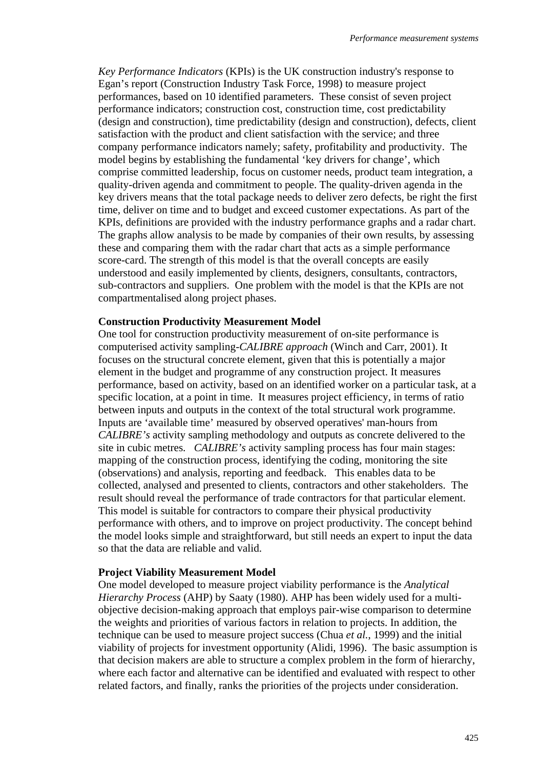*Key Performance Indicators* (KPIs) is the UK construction industry's response to Egan's report (Construction Industry Task Force, 1998) to measure project performances, based on 10 identified parameters. These consist of seven project performance indicators; construction cost, construction time, cost predictability (design and construction), time predictability (design and construction), defects, client satisfaction with the product and client satisfaction with the service; and three company performance indicators namely; safety, profitability and productivity. The model begins by establishing the fundamental 'key drivers for change', which comprise committed leadership, focus on customer needs, product team integration, a quality-driven agenda and commitment to people. The quality-driven agenda in the key drivers means that the total package needs to deliver zero defects, be right the first time, deliver on time and to budget and exceed customer expectations. As part of the KPIs, definitions are provided with the industry performance graphs and a radar chart. The graphs allow analysis to be made by companies of their own results, by assessing these and comparing them with the radar chart that acts as a simple performance score-card. The strength of this model is that the overall concepts are easily understood and easily implemented by clients, designers, consultants, contractors, sub-contractors and suppliers. One problem with the model is that the KPIs are not compartmentalised along project phases.

#### **Construction Productivity Measurement Model**

One tool for construction productivity measurement of on-site performance is computerised activity sampling-*CALIBRE approach* (Winch and Carr, 2001). It focuses on the structural concrete element, given that this is potentially a major element in the budget and programme of any construction project. It measures performance, based on activity, based on an identified worker on a particular task, at a specific location, at a point in time. It measures project efficiency, in terms of ratio between inputs and outputs in the context of the total structural work programme. Inputs are 'available time' measured by observed operatives' man-hours from *CALIBRE's* activity sampling methodology and outputs as concrete delivered to the site in cubic metres*. CALIBRE's* activity sampling process has four main stages: mapping of the construction process, identifying the coding, monitoring the site (observations) and analysis, reporting and feedback. This enables data to be collected, analysed and presented to clients, contractors and other stakeholders. The result should reveal the performance of trade contractors for that particular element. This model is suitable for contractors to compare their physical productivity performance with others, and to improve on project productivity. The concept behind the model looks simple and straightforward, but still needs an expert to input the data so that the data are reliable and valid.

#### **Project Viability Measurement Model**

One model developed to measure project viability performance is the *Analytical Hierarchy Process* (AHP) by Saaty (1980). AHP has been widely used for a multiobjective decision-making approach that employs pair-wise comparison to determine the weights and priorities of various factors in relation to projects. In addition, the technique can be used to measure project success (Chua *et al.*, 1999) and the initial viability of projects for investment opportunity (Alidi, 1996). The basic assumption is that decision makers are able to structure a complex problem in the form of hierarchy, where each factor and alternative can be identified and evaluated with respect to other related factors, and finally, ranks the priorities of the projects under consideration.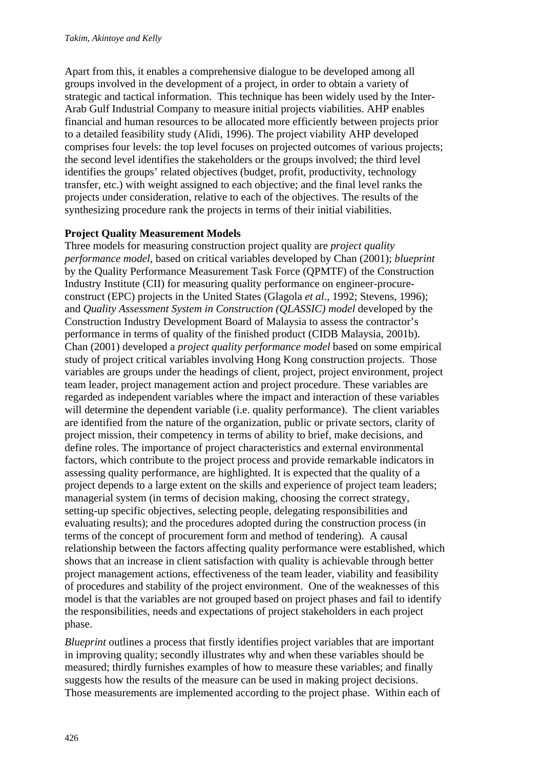Apart from this, it enables a comprehensive dialogue to be developed among all groups involved in the development of a project, in order to obtain a variety of strategic and tactical information. This technique has been widely used by the Inter-Arab Gulf Industrial Company to measure initial projects viabilities. AHP enables financial and human resources to be allocated more efficiently between projects prior to a detailed feasibility study (Alidi, 1996). The project viability AHP developed comprises four levels: the top level focuses on projected outcomes of various projects; the second level identifies the stakeholders or the groups involved; the third level identifies the groups' related objectives (budget, profit, productivity, technology transfer, etc.) with weight assigned to each objective; and the final level ranks the projects under consideration, relative to each of the objectives. The results of the synthesizing procedure rank the projects in terms of their initial viabilities.

### **Project Quality Measurement Models**

Three models for measuring construction project quality are *project quality performance model,* based on critical variables developed by Chan (2001); *blueprint* by the Quality Performance Measurement Task Force (QPMTF) of the Construction Industry Institute (CII) for measuring quality performance on engineer-procureconstruct (EPC) projects in the United States (Glagola *et al.,* 1992; Stevens, 1996); and *Quality Assessment System in Construction (QLASSIC) model* developed by the Construction Industry Development Board of Malaysia to assess the contractor's performance in terms of quality of the finished product (CIDB Malaysia, 2001b). Chan (2001) developed a *project quality performance model* based on some empirical study of project critical variables involving Hong Kong construction projects. Those variables are groups under the headings of client, project, project environment, project team leader, project management action and project procedure. These variables are regarded as independent variables where the impact and interaction of these variables will determine the dependent variable (i.e. quality performance). The client variables are identified from the nature of the organization, public or private sectors, clarity of project mission, their competency in terms of ability to brief, make decisions, and define roles. The importance of project characteristics and external environmental factors, which contribute to the project process and provide remarkable indicators in assessing quality performance, are highlighted. It is expected that the quality of a project depends to a large extent on the skills and experience of project team leaders; managerial system (in terms of decision making, choosing the correct strategy, setting-up specific objectives, selecting people, delegating responsibilities and evaluating results); and the procedures adopted during the construction process (in terms of the concept of procurement form and method of tendering). A causal relationship between the factors affecting quality performance were established, which shows that an increase in client satisfaction with quality is achievable through better project management actions, effectiveness of the team leader, viability and feasibility of procedures and stability of the project environment. One of the weaknesses of this model is that the variables are not grouped based on project phases and fail to identify the responsibilities, needs and expectations of project stakeholders in each project phase.

*Blueprint* outlines a process that firstly identifies project variables that are important in improving quality; secondly illustrates why and when these variables should be measured; thirdly furnishes examples of how to measure these variables; and finally suggests how the results of the measure can be used in making project decisions. Those measurements are implemented according to the project phase. Within each of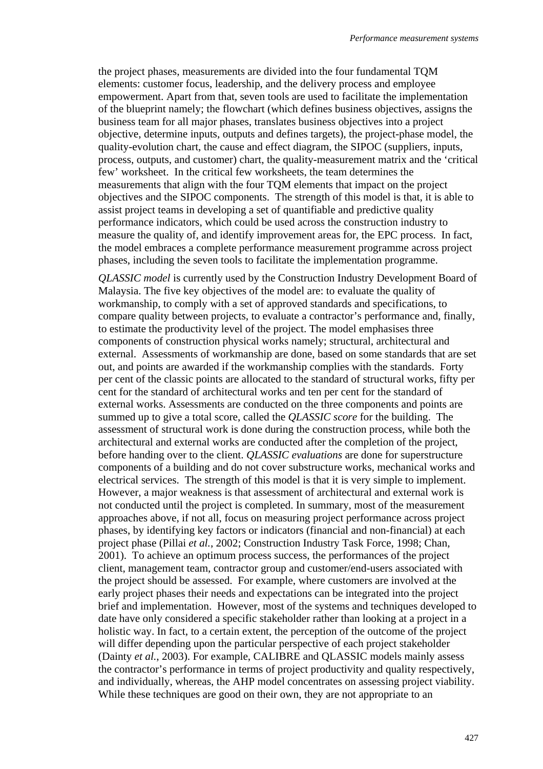the project phases, measurements are divided into the four fundamental TQM elements: customer focus, leadership, and the delivery process and employee empowerment. Apart from that, seven tools are used to facilitate the implementation of the blueprint namely; the flowchart (which defines business objectives, assigns the business team for all major phases, translates business objectives into a project objective, determine inputs, outputs and defines targets), the project-phase model, the quality-evolution chart, the cause and effect diagram, the SIPOC (suppliers, inputs, process, outputs, and customer) chart, the quality-measurement matrix and the 'critical few' worksheet. In the critical few worksheets, the team determines the measurements that align with the four TQM elements that impact on the project objectives and the SIPOC components. The strength of this model is that, it is able to assist project teams in developing a set of quantifiable and predictive quality performance indicators, which could be used across the construction industry to measure the quality of, and identify improvement areas for, the EPC process. In fact, the model embraces a complete performance measurement programme across project phases, including the seven tools to facilitate the implementation programme.

*QLASSIC model* is currently used by the Construction Industry Development Board of Malaysia. The five key objectives of the model are: to evaluate the quality of workmanship, to comply with a set of approved standards and specifications, to compare quality between projects, to evaluate a contractor's performance and, finally, to estimate the productivity level of the project. The model emphasises three components of construction physical works namely; structural, architectural and external. Assessments of workmanship are done, based on some standards that are set out, and points are awarded if the workmanship complies with the standards. Forty per cent of the classic points are allocated to the standard of structural works, fifty per cent for the standard of architectural works and ten per cent for the standard of external works. Assessments are conducted on the three components and points are summed up to give a total score, called the *QLASSIC score* for the building. The assessment of structural work is done during the construction process, while both the architectural and external works are conducted after the completion of the project, before handing over to the client. *QLASSIC evaluations* are done for superstructure components of a building and do not cover substructure works, mechanical works and electrical services. The strength of this model is that it is very simple to implement. However, a major weakness is that assessment of architectural and external work is not conducted until the project is completed. In summary, most of the measurement approaches above, if not all, focus on measuring project performance across project phases, by identifying key factors or indicators (financial and non-financial) at each project phase (Pillai *et al.*, 2002; Construction Industry Task Force, 1998; Chan, 2001). To achieve an optimum process success, the performances of the project client, management team, contractor group and customer/end-users associated with the project should be assessed. For example, where customers are involved at the early project phases their needs and expectations can be integrated into the project brief and implementation. However, most of the systems and techniques developed to date have only considered a specific stakeholder rather than looking at a project in a holistic way. In fact, to a certain extent, the perception of the outcome of the project will differ depending upon the particular perspective of each project stakeholder (Dainty *et al.*, 2003). For example, CALIBRE and QLASSIC models mainly assess the contractor's performance in terms of project productivity and quality respectively, and individually, whereas, the AHP model concentrates on assessing project viability. While these techniques are good on their own, they are not appropriate to an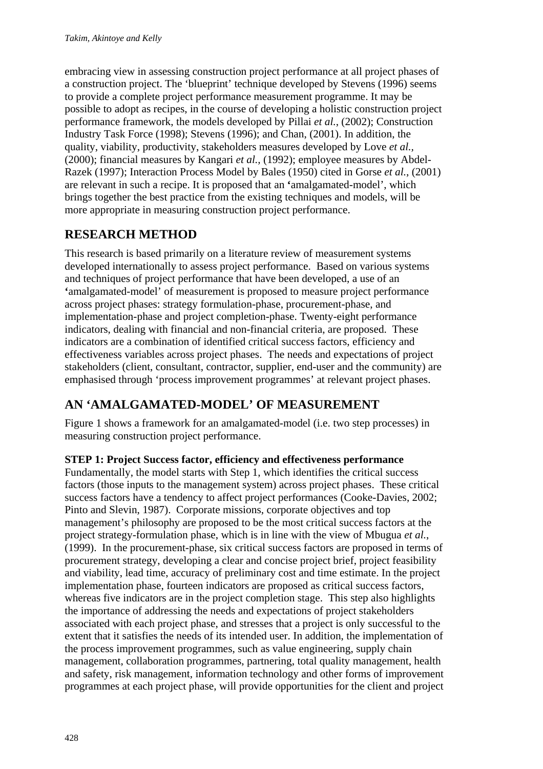embracing view in assessing construction project performance at all project phases of a construction project. The 'blueprint' technique developed by Stevens (1996) seems to provide a complete project performance measurement programme. It may be possible to adopt as recipes, in the course of developing a holistic construction project performance framework, the models developed by Pillai *et al.*, (2002); Construction Industry Task Force (1998); Stevens (1996); and Chan, (2001). In addition, the quality, viability, productivity, stakeholders measures developed by Love *et al.,*  (2000); financial measures by Kangari *et al.,* (1992); employee measures by Abdel-Razek (1997); Interaction Process Model by Bales (1950) cited in Gorse *et al.*, (2001) are relevant in such a recipe. It is proposed that an **'**amalgamated-model', which brings together the best practice from the existing techniques and models, will be more appropriate in measuring construction project performance.

# **RESEARCH METHOD**

This research is based primarily on a literature review of measurement systems developed internationally to assess project performance. Based on various systems and techniques of project performance that have been developed, a use of an **'**amalgamated-model' of measurement is proposed to measure project performance across project phases: strategy formulation-phase, procurement-phase, and implementation-phase and project completion-phase. Twenty-eight performance indicators, dealing with financial and non-financial criteria, are proposed. These indicators are a combination of identified critical success factors, efficiency and effectiveness variables across project phases. The needs and expectations of project stakeholders (client, consultant, contractor, supplier, end-user and the community) are emphasised through 'process improvement programmes' at relevant project phases.

## **AN 'AMALGAMATED-MODEL' OF MEASUREMENT**

Figure 1 shows a framework for an amalgamated-model (i.e. two step processes) in measuring construction project performance.

### **STEP 1: Project Success factor, efficiency and effectiveness performance**

Fundamentally, the model starts with Step 1, which identifies the critical success factors (those inputs to the management system) across project phases. These critical success factors have a tendency to affect project performances (Cooke-Davies, 2002; Pinto and Slevin, 1987). Corporate missions, corporate objectives and top management's philosophy are proposed to be the most critical success factors at the project strategy-formulation phase, which is in line with the view of Mbugua *et al.*, (1999). In the procurement-phase, six critical success factors are proposed in terms of procurement strategy, developing a clear and concise project brief, project feasibility and viability, lead time, accuracy of preliminary cost and time estimate. In the project implementation phase, fourteen indicators are proposed as critical success factors, whereas five indicators are in the project completion stage. This step also highlights the importance of addressing the needs and expectations of project stakeholders associated with each project phase, and stresses that a project is only successful to the extent that it satisfies the needs of its intended user. In addition, the implementation of the process improvement programmes, such as value engineering, supply chain management, collaboration programmes, partnering, total quality management, health and safety, risk management, information technology and other forms of improvement programmes at each project phase, will provide opportunities for the client and project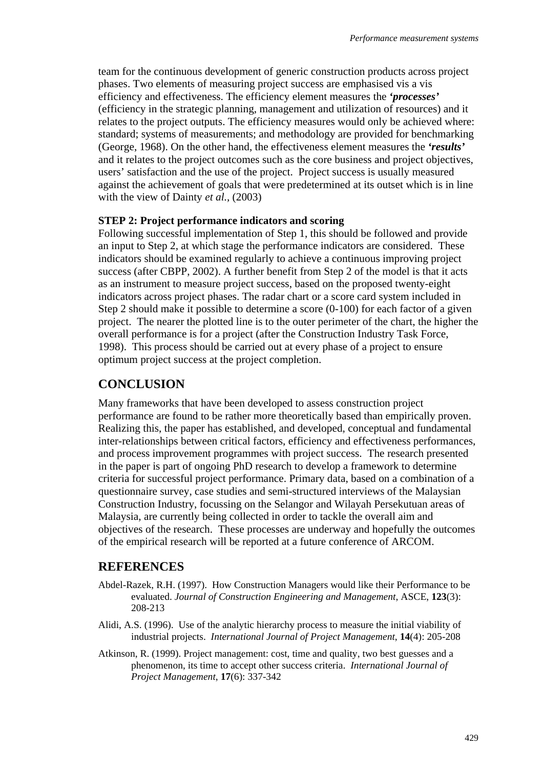team for the continuous development of generic construction products across project phases. Two elements of measuring project success are emphasised vis a vis efficiency and effectiveness. The efficiency element measures the *'processes'* (efficiency in the strategic planning, management and utilization of resources) and it relates to the project outputs. The efficiency measures would only be achieved where: standard; systems of measurements; and methodology are provided for benchmarking (George, 1968). On the other hand, the effectiveness element measures the *'results'* and it relates to the project outcomes such as the core business and project objectives, users' satisfaction and the use of the project. Project success is usually measured against the achievement of goals that were predetermined at its outset which is in line with the view of Dainty *et al.,* (2003)

#### **STEP 2: Project performance indicators and scoring**

Following successful implementation of Step 1, this should be followed and provide an input to Step 2, at which stage the performance indicators are considered. These indicators should be examined regularly to achieve a continuous improving project success (after CBPP, 2002). A further benefit from Step 2 of the model is that it acts as an instrument to measure project success, based on the proposed twenty-eight indicators across project phases. The radar chart or a score card system included in Step 2 should make it possible to determine a score (0-100) for each factor of a given project. The nearer the plotted line is to the outer perimeter of the chart, the higher the overall performance is for a project (after the Construction Industry Task Force, 1998). This process should be carried out at every phase of a project to ensure optimum project success at the project completion.

### **CONCLUSION**

Many frameworks that have been developed to assess construction project performance are found to be rather more theoretically based than empirically proven. Realizing this, the paper has established, and developed, conceptual and fundamental inter-relationships between critical factors, efficiency and effectiveness performances, and process improvement programmes with project success. The research presented in the paper is part of ongoing PhD research to develop a framework to determine criteria for successful project performance. Primary data, based on a combination of a questionnaire survey, case studies and semi-structured interviews of the Malaysian Construction Industry, focussing on the Selangor and Wilayah Persekutuan areas of Malaysia, are currently being collected in order to tackle the overall aim and objectives of the research. These processes are underway and hopefully the outcomes of the empirical research will be reported at a future conference of ARCOM.

### **REFERENCES**

- Abdel-Razek, R.H. (1997). How Construction Managers would like their Performance to be evaluated. *Journal of Construction Engineering and Management*, ASCE, **123**(3): 208-213
- Alidi, A.S. (1996). Use of the analytic hierarchy process to measure the initial viability of industrial projects. *International Journal of Project Management*, **14**(4): 205-208
- Atkinson, R. (1999). Project management: cost, time and quality, two best guesses and a phenomenon, its time to accept other success criteria. *International Journal of Project Management*, **17**(6): 337-342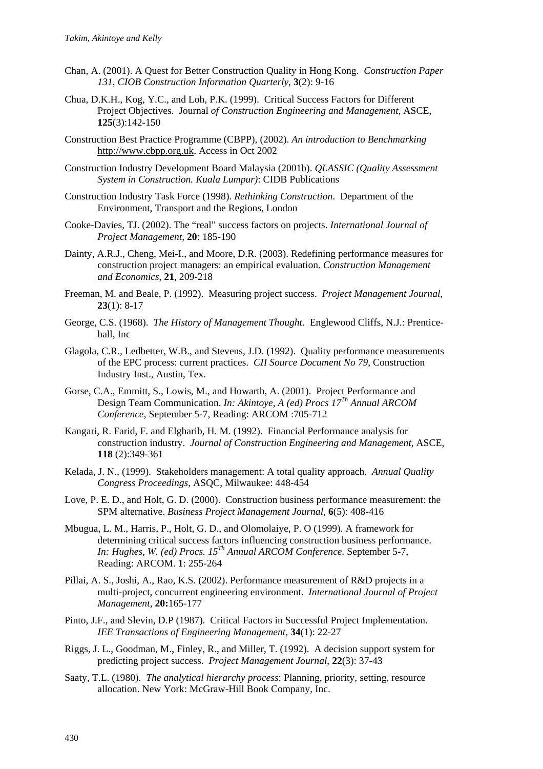- Chan, A. (2001). A Quest for Better Construction Quality in Hong Kong. *Construction Paper 131, CIOB Construction Information Quarterly*, **3**(2): 9-16
- Chua, D.K.H., Kog, Y.C., and Loh, P.K. (1999). Critical Success Factors for Different Project Objectives. Journal *of Construction Engineering and Management*, ASCE, **125**(3):142-150
- Construction Best Practice Programme (CBPP), (2002). *An introduction to Benchmarking*  http://www.cbpp.org.uk. Access in Oct 2002
- Construction Industry Development Board Malaysia (2001b). *QLASSIC (Quality Assessment System in Construction. Kuala Lumpur)*: CIDB Publications
- Construction Industry Task Force (1998). *Rethinking Construction*. Department of the Environment, Transport and the Regions, London
- Cooke-Davies, TJ. (2002). The "real" success factors on projects. *International Journal of Project Management,* **20**: 185-190
- Dainty, A.R.J., Cheng, Mei-I., and Moore, D.R. (2003). Redefining performance measures for construction project managers: an empirical evaluation. *Construction Management and Economics*, **21**, 209-218
- Freeman, M. and Beale, P. (1992). Measuring project success. *Project Management Journal*, **23**(1): 8-17
- George, C.S. (1968). *The History of Management Thought*. Englewood Cliffs, N.J.: Prenticehall, Inc
- Glagola, C.R., Ledbetter, W.B., and Stevens, J.D. (1992). Quality performance measurements of the EPC process: current practices. *CII Source Document No 79*, Construction Industry Inst., Austin, Tex.
- Gorse, C.A., Emmitt, S., Lowis, M., and Howarth, A. (2001). Project Performance and Design Team Communication. *In: Akintoye, A (ed) Procs 17Th Annual ARCOM Conference,* September 5-7, Reading: ARCOM :705-712
- Kangari, R. Farid, F. and Elgharib, H. M. (1992). Financial Performance analysis for construction industry. *Journal of Construction Engineering and Management*, ASCE, **118** (2):349-361
- Kelada, J. N., (1999). Stakeholders management: A total quality approach. *Annual Quality Congress Proceedings*, ASQC*,* Milwaukee: 448-454
- Love, P. E. D., and Holt, G. D. (2000). Construction business performance measurement: the SPM alternative. *Business Project Management Journal*, **6**(5): 408-416
- Mbugua, L. M., Harris, P., Holt, G. D., and Olomolaiye, P. O (1999). A framework for determining critical success factors influencing construction business performance. *In: Hughes, W. (ed) Procs. 15Th Annual ARCOM Conference.* September 5-7, Reading: ARCOM. **1**: 255-264
- Pillai, A. S., Joshi, A., Rao, K.S. (2002). Performance measurement of R&D projects in a multi-project, concurrent engineering environment. *International Journal of Project Management,* **20:**165-177
- Pinto, J.F., and Slevin, D.P (1987). Critical Factors in Successful Project Implementation. *IEE Transactions of Engineering Management*, **34**(1): 22-27
- Riggs, J. L., Goodman, M., Finley, R., and Miller, T. (1992). A decision support system for predicting project success. *Project Management Journal*, **22**(3): 37-43
- Saaty, T.L. (1980). *The analytical hierarchy process*: Planning, priority, setting, resource allocation. New York: McGraw-Hill Book Company, Inc.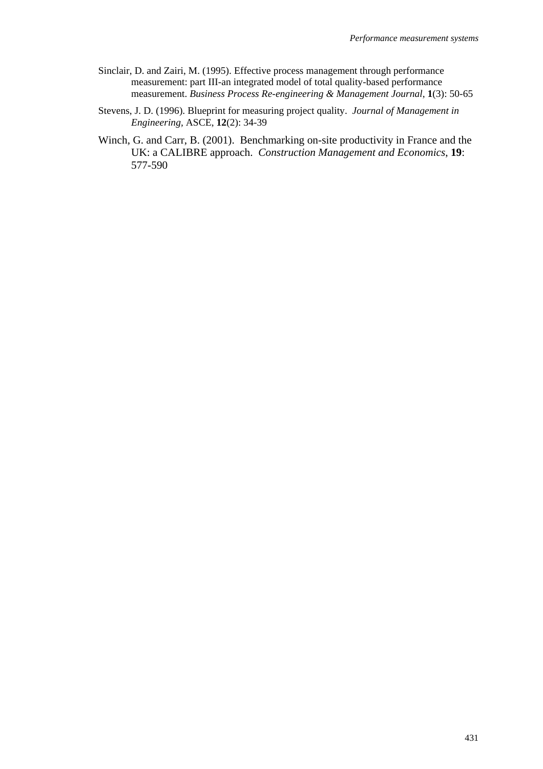- Sinclair, D. and Zairi, M. (1995). Effective process management through performance measurement: part III-an integrated model of total quality-based performance measurement. *Business Process Re-engineering & Management Journal*, **1**(3): 50-65
- Stevens, J. D. (1996). Blueprint for measuring project quality. *Journal of Management in Engineering,* ASCE, **12**(2): 34-39
- Winch, G. and Carr, B. (2001). Benchmarking on-site productivity in France and the UK: a CALIBRE approach. *Construction Management and Economics*, **19**: 577-590